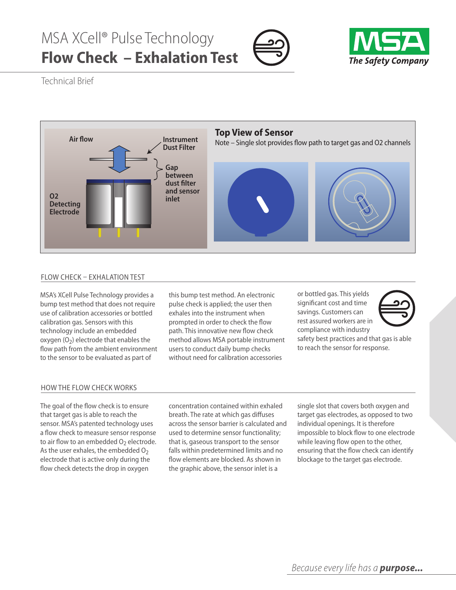## MSA XCell® Pulse Technology **Flow Check – Exhalation Test**





Technical Brief



## FlOw CHeCk – eXHAlATIOn TeST

MSA's XCell Pulse Technology provides a bump test method that does not require use of calibration accessories or bottled calibration gas. Sensors with this technology include an embedded oxygen  $(0<sub>2</sub>)$  electrode that enables the flow path from the ambient environment to the sensor to be evaluated as part of

this bump test method. An electronic pulse check is applied; the user then exhales into the instrument when prompted in order to check the flow path. This innovative new flow check method allows MSA portable instrument users to conduct daily bump checks without need for calibration accessories

or bottled gas. This yields significant cost and time savings. Customers can rest assured workers are in compliance with industry



to reach the sensor for response.

## HOw THe FlOw CHeCk wOrkS

The goal of the flow check is to ensure that target gas is able to reach the sensor. MSA's patented technology uses a flow check to measure sensor response to air flow to an embedded  $O<sub>2</sub>$  electrode. As the user exhales, the embedded  $O<sub>2</sub>$ electrode that is active only during the flow check detects the drop in oxygen

concentration contained within exhaled breath. The rate at which gas diffuses across the sensor barrier is calculated and used to determine sensor functionality; that is, gaseous transport to the sensor falls within predetermined limits and no flow elements are blocked. As shown in the graphic above, the sensor inlet is a

single slot that covers both oxygen and target gas electrodes, as opposed to two individual openings. It is therefore impossible to block flow to one electrode while leaving flow open to the other, ensuring that the flow check can identify blockage to the target gas electrode.

safety best practices and that gas is able